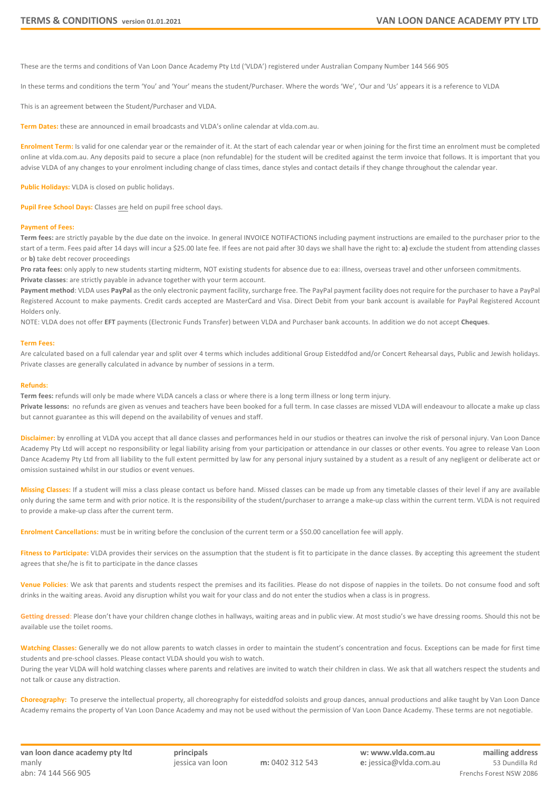These are the terms and conditions of Van Loon Dance Academy Pty Ltd ('VLDA') registered under Australian Company Number 144 566 905

In these terms and conditions the term 'You' and 'Your' means the student/Purchaser. Where the words 'We', 'Our and 'Us' appears it is a reference to VLDA

This is an agreement between the Student/Purchaser and VLDA.

**Term Dates:** these are announced in email broadcasts and VLDA's online calendar at vlda.com.au.

**Enrolment Term:** Is valid for one calendar year or the remainder of it. At the start of each calendar year or when joining for the first time an enrolment must be completed online at vlda.com.au. Any deposits paid to secure a place (non refundable) for the student will be credited against the term invoice that follows. It is important that you advise VLDA of any changes to your enrolment including change of class times, dance styles and contact details if they change throughout the calendar year.

**Public Holidays:** VLDA is closed on public holidays.

Pupil Free School Days: Classes are held on pupil free school days.

## **Payment of Fees:**

**Term fees:** are strictly payable by the due date on the invoice. In general INVOICE NOTIFACTIONS including payment instructions are emailed to the purchaser prior to the start of a term. Fees paid after 14 days will incur a \$25.00 late fee. If fees are not paid after 30 days we shall have the right to: **a)** exclude the student from attending classes or **b)** take debt recover proceedings

**Pro rata fees:** only apply to new students starting midterm, NOT existing students for absence due to ea: illness, overseas travel and other unforseen commitments. **Private classes**: are strictly payable in advance together with your term account.

Payment method: VLDA uses PayPal as the only electronic payment facility, surcharge free. The PayPal payment facility does not require for the purchaser to have a PayPal Registered Account to make payments. Credit cards accepted are MasterCard and Visa. Direct Debit from your bank account is available for PayPal Registered Account Holders only.

NOTE: VLDA does not offer **EFT** payments (Electronic Funds Transfer) between VLDA and Purchaser bank accounts. In addition we do not accept **Cheques**.

## **Term Fees:**

Are calculated based on a full calendar year and split over 4 terms which includes additional Group Eisteddfod and/or Concert Rehearsal days, Public and Jewish holidays. Private classes are generally calculated in advance by number of sessions in a term.

## **Refunds:**

**Term fees:** refunds will only be made where VLDA cancels a class or where there is a long term illness or long term injury. **Private lessons:** no refunds are given as venues and teachers have been booked for a full term. In case classes are missed VLDA will endeavour to allocate a make up class but cannot guarantee as this will depend on the availability of venues and staff.

**Disclaimer:** by enrolling at VLDA you accept that all dance classes and performances held in our studios or theatres can involve the risk of personal injury. Van Loon Dance Academy Pty Ltd will accept no responsibility or legal liability arising from your participation or attendance in our classes or other events. You agree to release Van Loon Dance Academy Pty Ltd from all liability to the full extent permitted by law for any personal injury sustained by a student as a result of any negligent or deliberate act or omission sustained whilst in our studios or event venues.

**Missing Classes:** If a student will miss a class please contact us before hand. Missed classes can be made up from any timetable classes of their level if any are available only during the same term and with prior notice. It is the responsibility of the student/purchaser to arrange a make-up class within the current term. VLDA is not required to provide a make-up class after the current term.

**Enrolment Cancellations:** must be in writing before the conclusion of the current term or a \$50.00 cancellation fee will apply.

Fitness to Participate: VLDA provides their services on the assumption that the student is fit to participate in the dance classes. By accepting this agreement the student agrees that she/he is fit to participate in the dance classes

**Venue Policies**: We ask that parents and students respect the premises and its facilities. Please do not dispose of nappies in the toilets. Do not consume food and soft drinks in the waiting areas. Avoid any disruption whilst you wait for your class and do not enter the studios when a class is in progress.

Getting dressed: Please don't have your children change clothes in hallways, waiting areas and in public view. At most studio's we have dressing rooms. Should this not be available use the toilet rooms.

**Watching Classes:** Generally we do not allow parents to watch classes in order to maintain the student's concentration and focus. Exceptions can be made for first time students and pre-school classes. Please contact VLDA should you wish to watch.

During the year VLDA will hold watching classes where parents and relatives are invited to watch their children in class. We ask that all watchers respect the students and not talk or cause any distraction.

**Choreography:** To preserve the intellectual property, all choreography for eisteddfod soloists and group dances, annual productions and alike taught by Van Loon Dance Academy remains the property of Van Loon Dance Academy and may not be used without the permission of Van Loon Dance Academy. These terms are not negotiable.